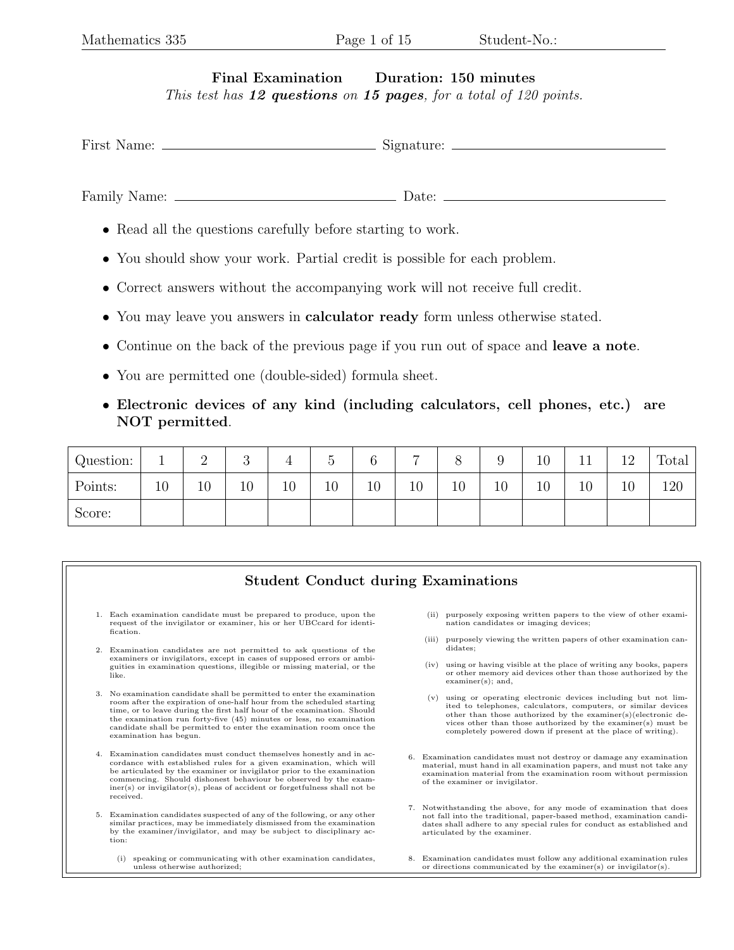## Final Examination Duration: 150 minutes This test has  $12$  questions on  $15$  pages, for a total of  $120$  points.

| • Read all the questions carefully before starting to work.               |  |
|---------------------------------------------------------------------------|--|
| • You should show your work. Partial credit is possible for each problem. |  |

- Correct answers without the accompanying work will not receive full credit.
- You may leave you answers in **calculator ready** form unless otherwise stated.
- Continue on the back of the previous page if you run out of space and leave a note.
- You are permitted one (double-sided) formula sheet.
- Electronic devices of any kind (including calculators, cell phones, etc.) are NOT permitted.

| Question: | ж. | $\Omega$<br>↵ | ್ರ. | л. |    | 6  | $\overline{ }$ |    |    | 10 | ᆠᅶ | 19 | Total |
|-----------|----|---------------|-----|----|----|----|----------------|----|----|----|----|----|-------|
| Points:   | 10 | 10            | 10  | 10 | 10 | 10 | 10             | 10 | 10 | 10 | 10 | 10 | 120   |
| Score:    |    |               |     |    |    |    |                |    |    |    |    |    |       |

## Student Conduct during Examinations

- 1. Each examination candidate must be prepared to produce, upon the request of the invigilator or examiner, his or her UBCcard for identification.
- 2. Examination candidates are not permitted to ask questions of the examiners or invigilators, except in cases of supposed errors or ambiguities in examination questions, illegible or missing material, or the like.
- 3. No examination candidate shall be permitted to enter the examination room after the expiration of one-half hour from the scheduled starting time, or to leave during the first half hour of the examination. Should the examination run forty-five (45) minutes or less, no examination candidate shall be permitted to enter the examination room once the examination has begun.
- 4. Examination candidates must conduct themselves honestly and in accordance with established rules for a given examination, which will be articulated by the examiner or invigilator prior to the examination commencing. Should dishonest behaviour be observed by the examiner(s) or invigilator(s), pleas of accident or forgetfulness shall not be received.
- 5. Examination candidates suspected of any of the following, or any other similar practices, may be immediately dismissed from the examination by the examiner/invigilator, and may be subject to disciplinary action:
	- (i) speaking or communicating with other examination candidates, unless otherwise authorized;
- (ii) purposely exposing written papers to the view of other examination candidates or imaging devices;
- (iii) purposely viewing the written papers of other examination candidates;
- (iv) using or having visible at the place of writing any books, papers or other memory aid devices other than those authorized by the examiner(s); and,
- (v) using or operating electronic devices including but not limited to telephones, calculators, computers, or similar devices other than those authorized by the examiner(s)(electronic de-vices other than those authorized by the examiner(s) must be completely powered down if present at the place of writing).
- 6. Examination candidates must not destroy or damage any examination material, must hand in all examination papers, and must not take any examination material from the examination room without permission of the examiner or invigilator.
- 7. Notwithstanding the above, for any mode of examination that does not fall into the traditional, paper-based method, examination candidates shall adhere to any special rules for conduct as established and articulated by the examiner.
- 8. Examination candidates must follow any additional examination rules or directions communicated by the examiner(s) or invigilator(s).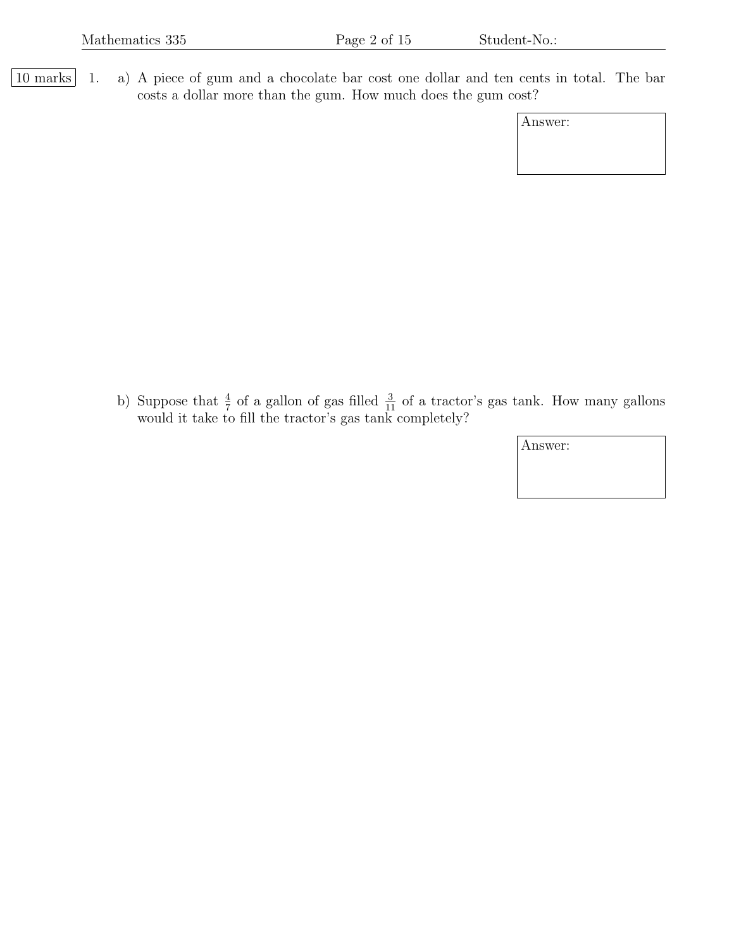10 marks 1. a) A piece of gum and a chocolate bar cost one dollar and ten cents in total. The bar costs a dollar more than the gum. How much does the gum cost?

| Answer: |
|---------|
|---------|

b) Suppose that  $\frac{4}{7}$  of a gallon of gas filled  $\frac{3}{11}$  of a tractor's gas tank. How many gallons would it take to fill the tractor's gas tank completely?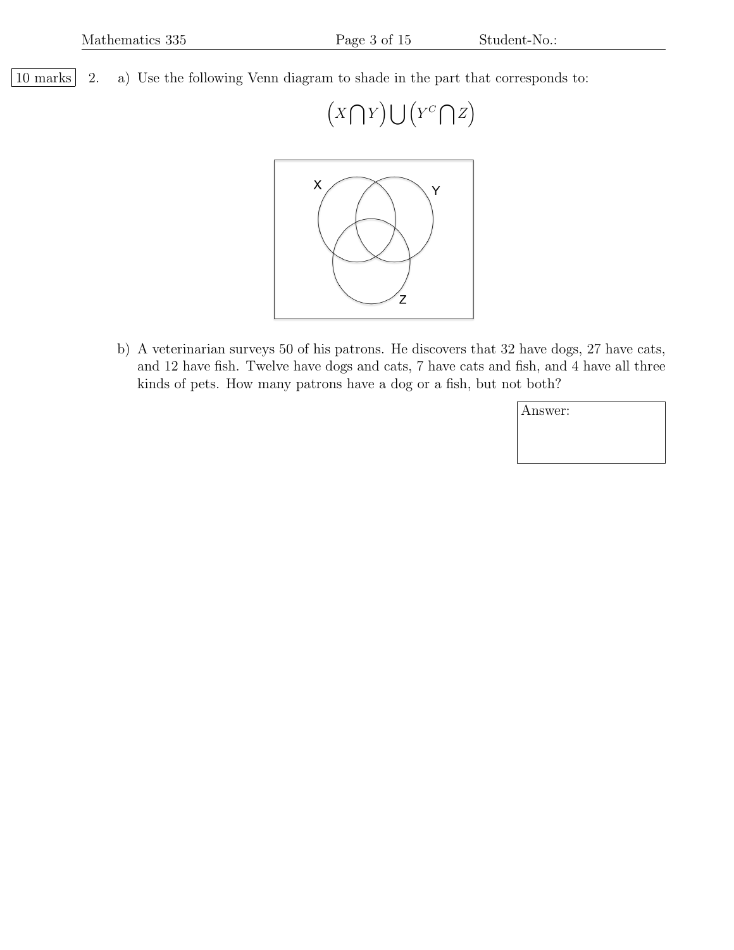



b) A veterinarian surveys 50 of his patrons. He discovers that 32 have dogs, 27 have cats, and 12 have fish. Twelve have dogs and cats, 7 have cats and fish, and 4 have all three kinds of pets. How many patrons have a dog or a fish, but not both?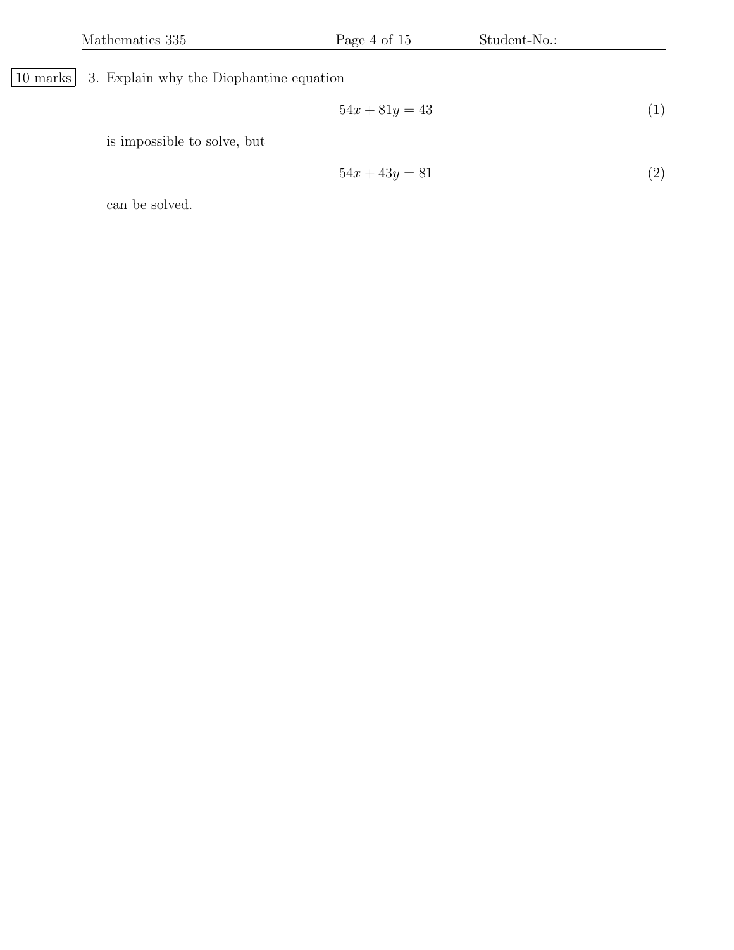## 10 marks 3. Explain why the Diophantine equation

$$
54x + 81y = 43 \tag{1}
$$

is impossible to solve, but

$$
54x + 43y = 81 \tag{2}
$$

can be solved.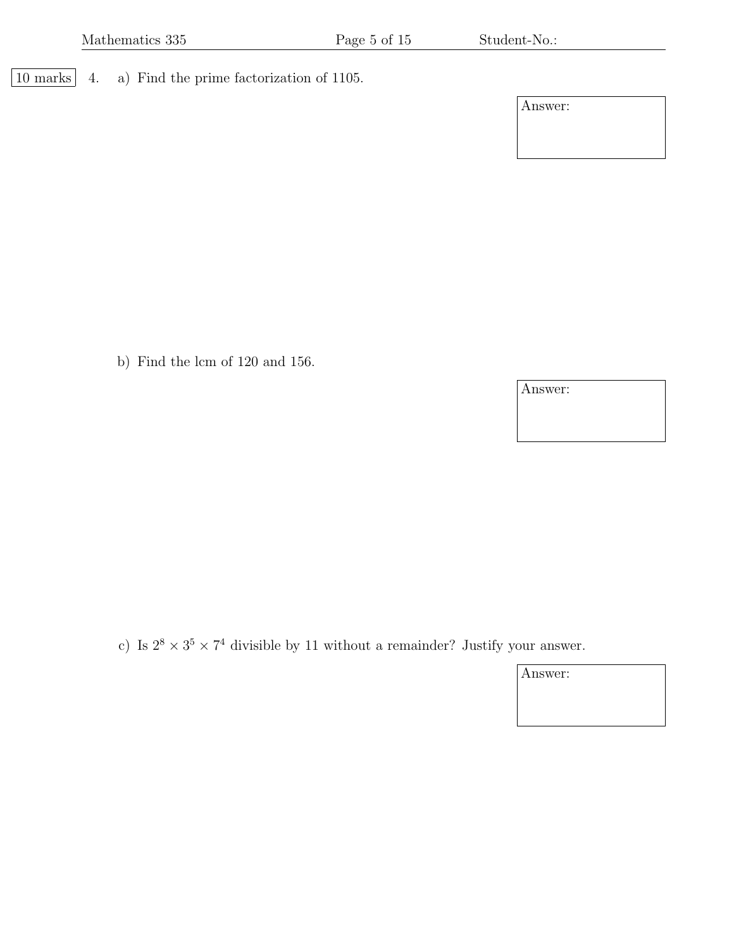10 marks 4. a) Find the prime factorization of 1105.

Answer:

b) Find the lcm of 120 and 156.

Answer:

c) Is  $2^8 \times 3^5 \times 7^4$  divisible by 11 without a remainder? Justify your answer.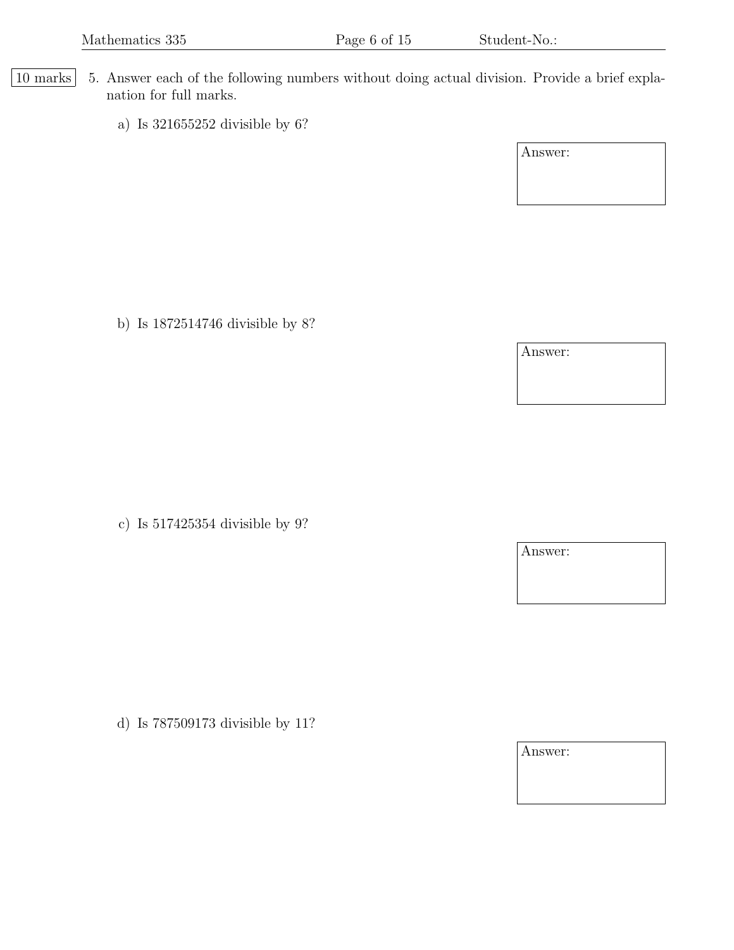- |10 marks | 5. Answer each of the following numbers without doing actual division. Provide a brief explanation for full marks.
	- a) Is 321655252 divisible by 6?

Answer:

b) Is 1872514746 divisible by 8?

c) Is 517425354 divisible by 9?

Answer:

d) Is 787509173 divisible by 11?

Answer: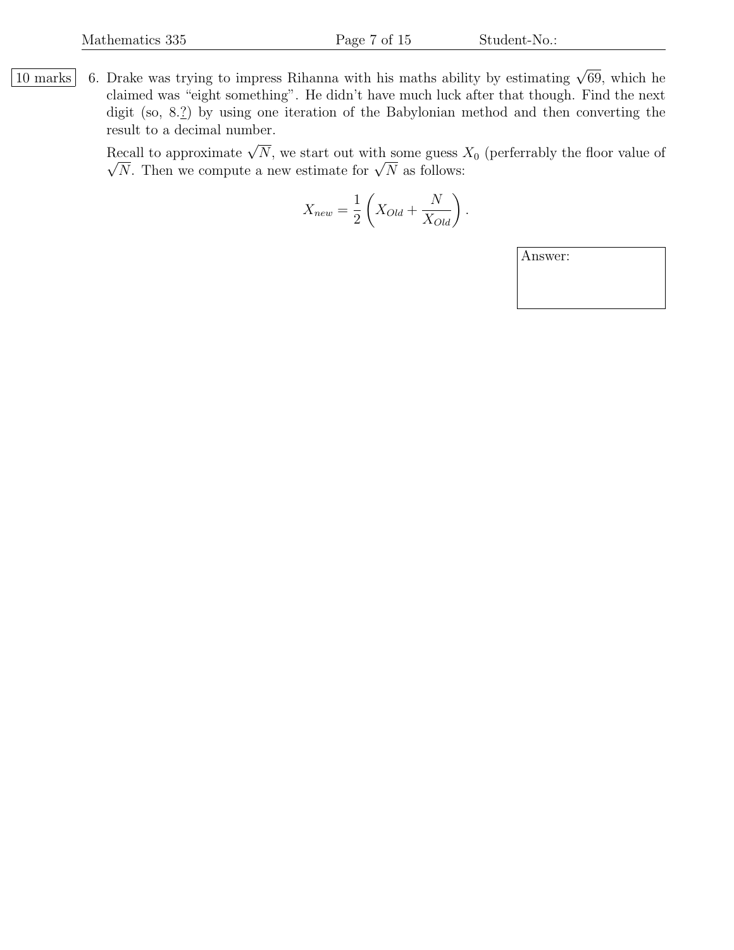10 marks 6. Drake was trying to impress Rihanna with his maths ability by estimating  $\sqrt{69}$ , which he claimed was "eight something". He didn't have much luck after that though. Find the next digit (so, 8.?) by using one iteration of the Babylonian method and then converting the result to a decimal number.

Recall to approximate  $\sqrt{N}$ , we start out with some guess  $X_0$  (perferrably the floor value of  $\sqrt{N}$ . Then we compute a new estimate for  $\sqrt{N}$  as follows:

$$
X_{new} = \frac{1}{2} \left( X_{Old} + \frac{N}{X_{Old}} \right).
$$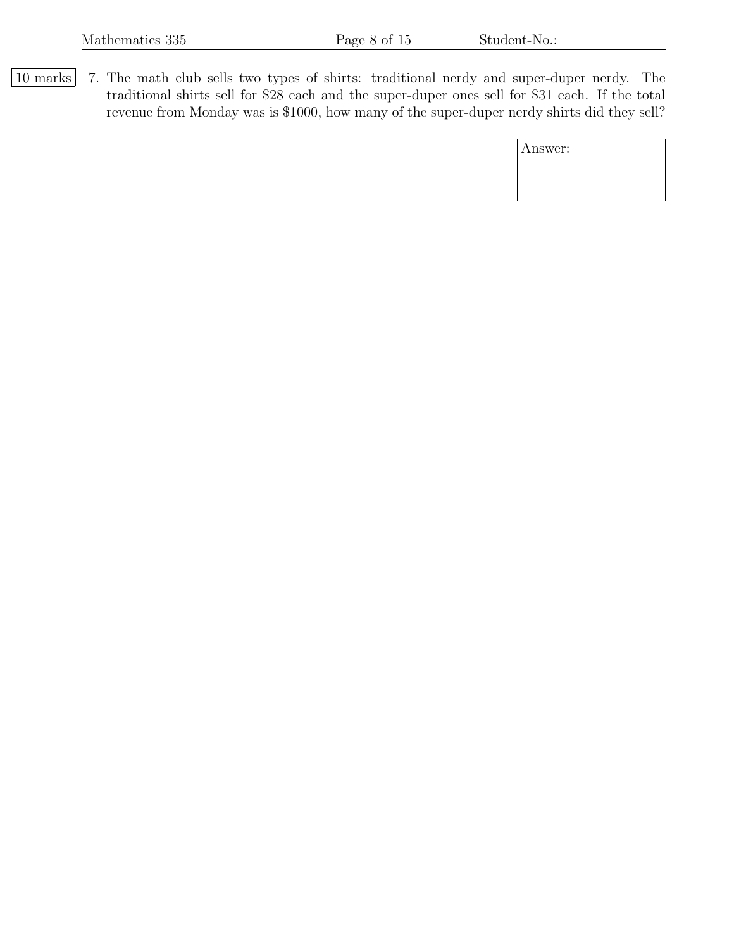10 marks 7. The math club sells two types of shirts: traditional nerdy and super-duper nerdy. The traditional shirts sell for \$28 each and the super-duper ones sell for \$31 each. If the total revenue from Monday was is \$1000, how many of the super-duper nerdy shirts did they sell?

| Answer: |  |
|---------|--|
|         |  |
|         |  |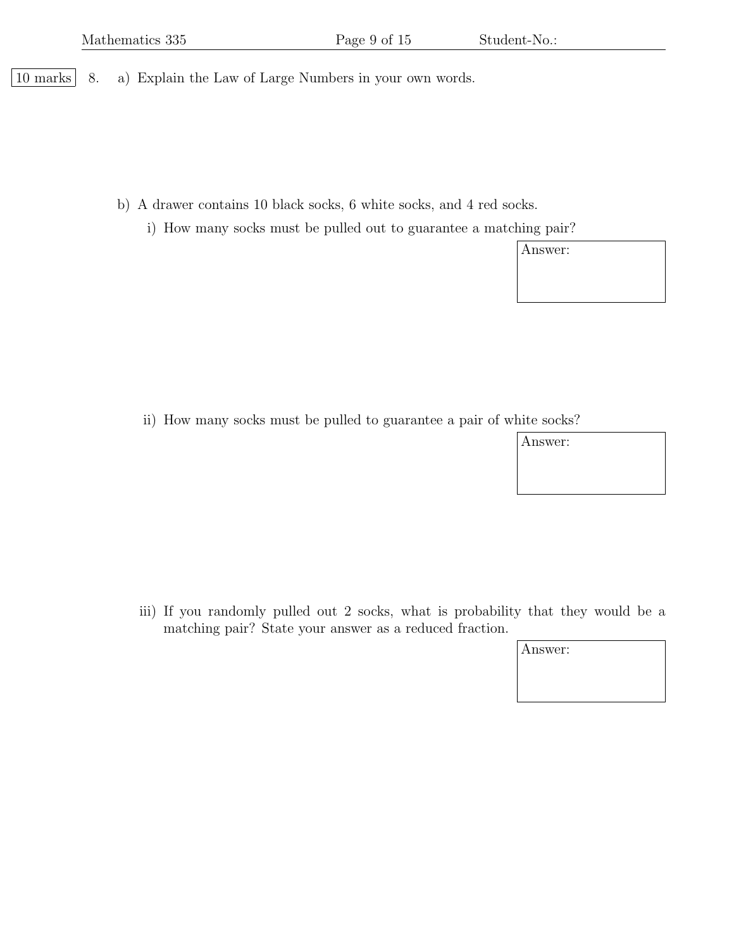| 10 marks | 8. a) Explain the Law of Large Numbers in your own words.

- b) A drawer contains 10 black socks, 6 white socks, and 4 red socks.
	- i) How many socks must be pulled out to guarantee a matching pair?

Answer:

ii) How many socks must be pulled to guarantee a pair of white socks?

Answer:

iii) If you randomly pulled out 2 socks, what is probability that they would be a matching pair? State your answer as a reduced fraction.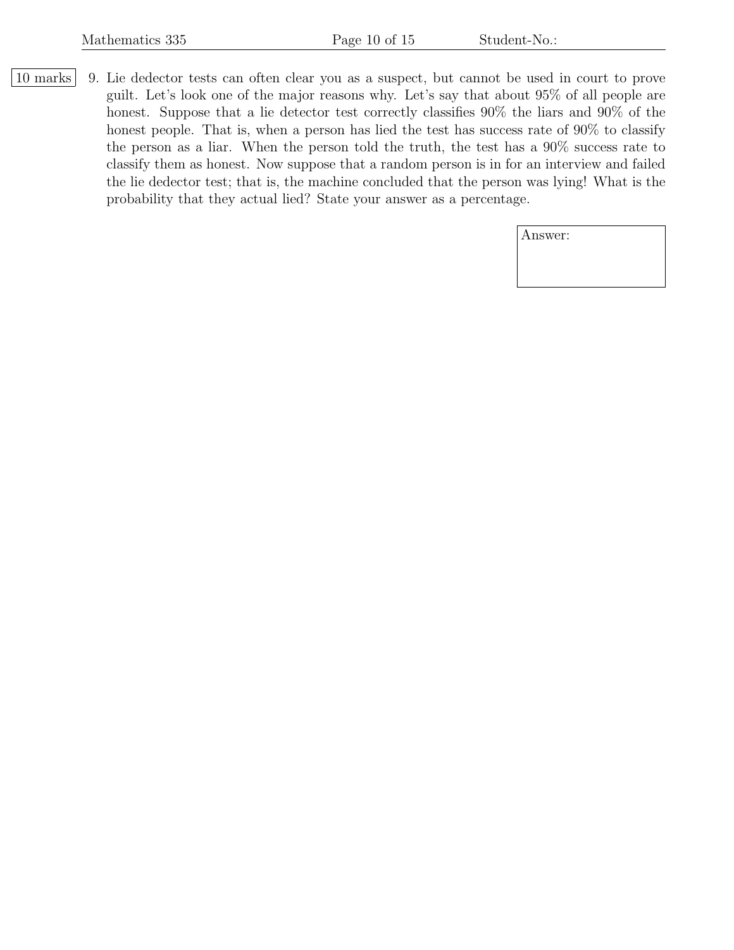10 marks 9. Lie dedector tests can often clear you as a suspect, but cannot be used in court to prove guilt. Let's look one of the major reasons why. Let's say that about 95% of all people are honest. Suppose that a lie detector test correctly classifies  $90\%$  the liars and  $90\%$  of the honest people. That is, when a person has lied the test has success rate of 90% to classify the person as a liar. When the person told the truth, the test has a 90% success rate to classify them as honest. Now suppose that a random person is in for an interview and failed the lie dedector test; that is, the machine concluded that the person was lying! What is the probability that they actual lied? State your answer as a percentage.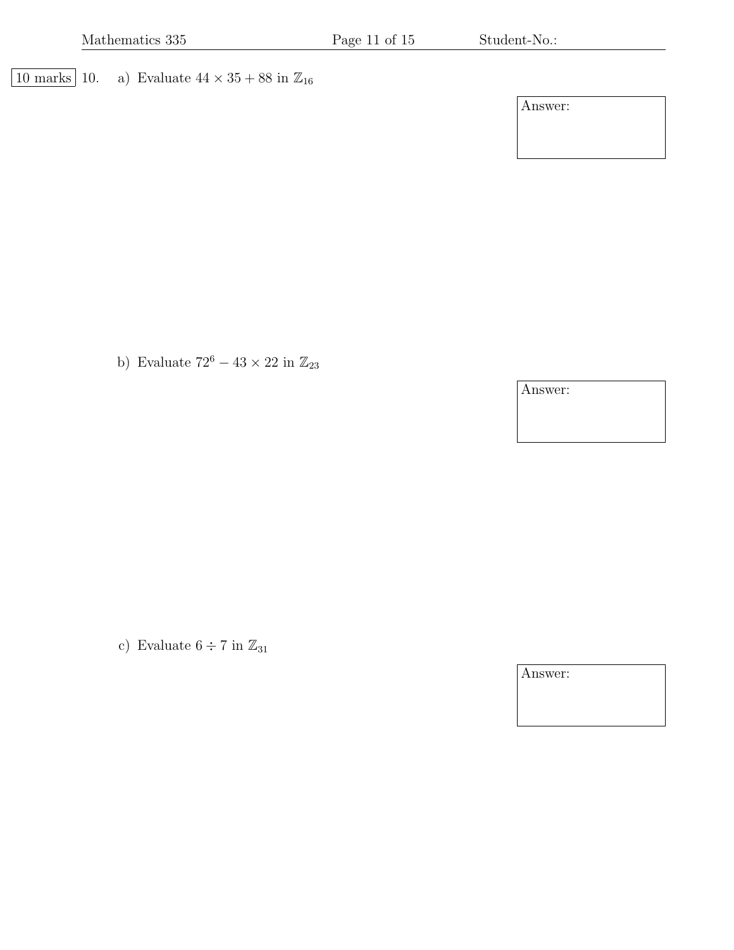10 marks 10. a) Evaluate  $44 \times 35 + 88$  in  $\mathbb{Z}_{16}$ 

Answer:

b) Evaluate  $72^6 - 43 \times 22$  in  $\mathbb{Z}_{23}$ 

Answer:

c) Evaluate  $6 \div 7$  in  $\mathbb{Z}_{31}$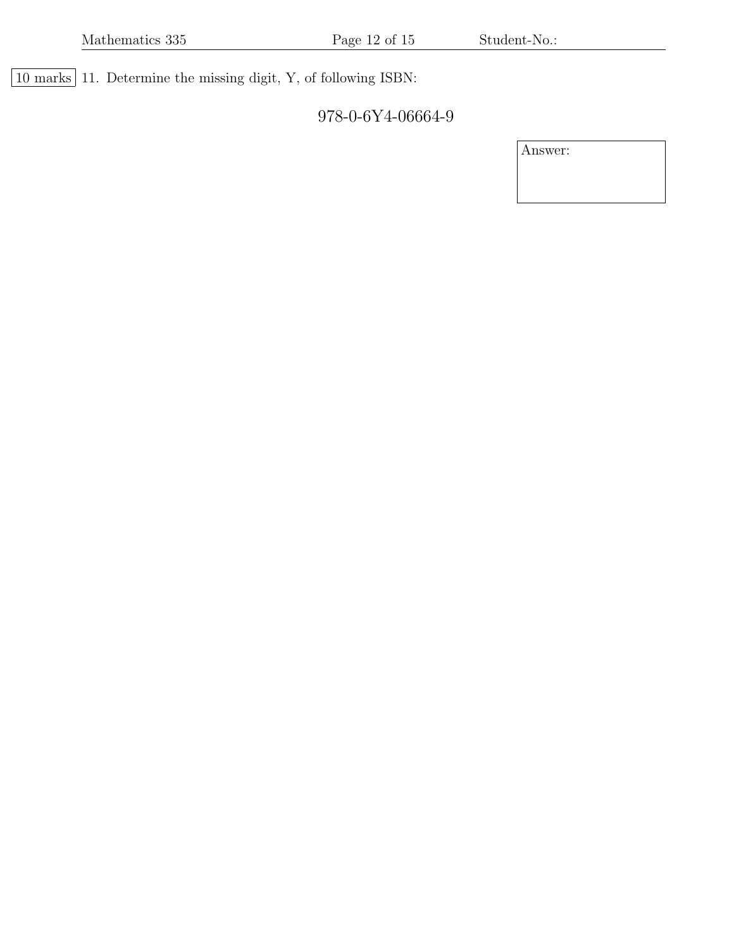$\fbox{10 marks}$  11. Determine the missing digit, Y, of following ISBN:

978-0-6Y4-06664-9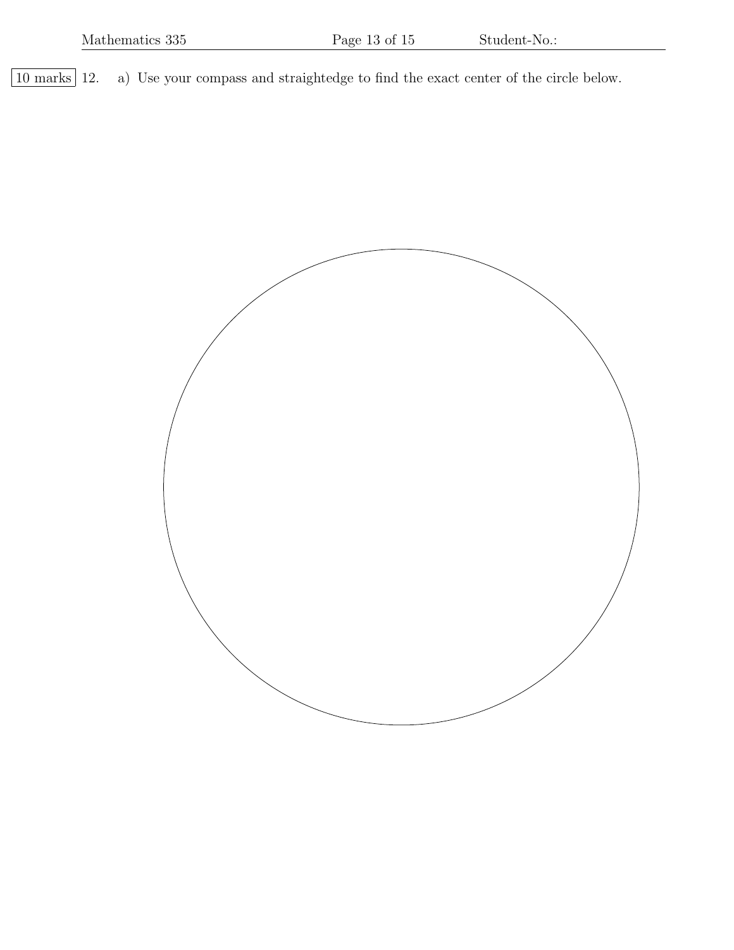10 marks 12. a) Use your compass and straightedge to find the exact center of the circle below.

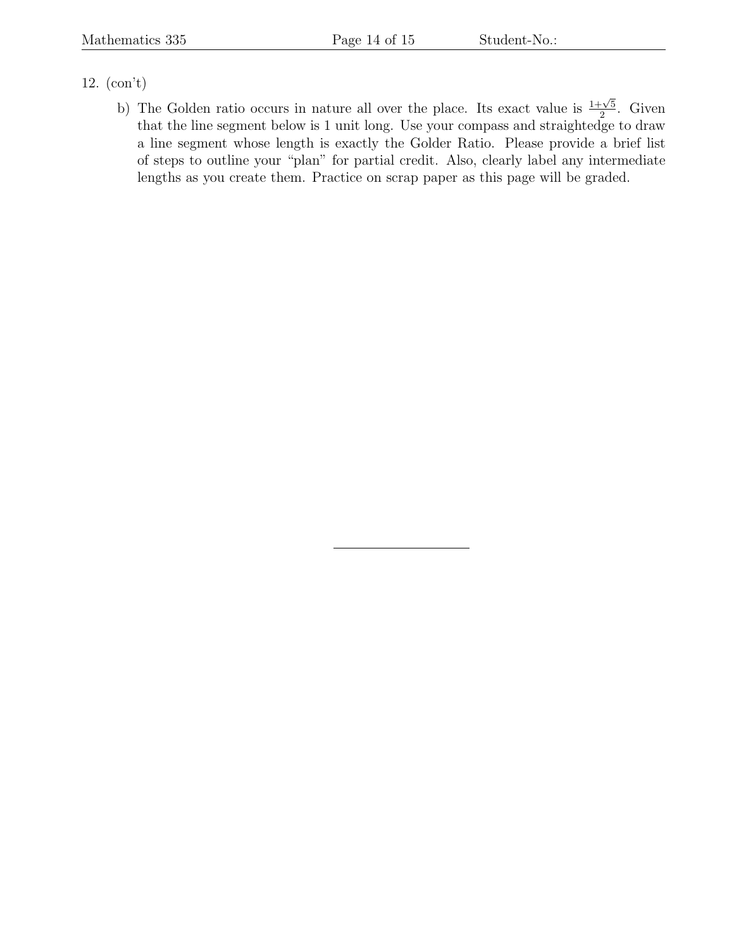## 12. (con't)

b) The Golden ratio occurs in nature all over the place. Its exact value is  $\frac{1+\sqrt{5}}{2}$  $\frac{\sqrt{5}}{2}$ . Given that the line segment below is 1 unit long. Use your compass and straightedge to draw a line segment whose length is exactly the Golder Ratio. Please provide a brief list of steps to outline your "plan" for partial credit. Also, clearly label any intermediate lengths as you create them. Practice on scrap paper as this page will be graded.